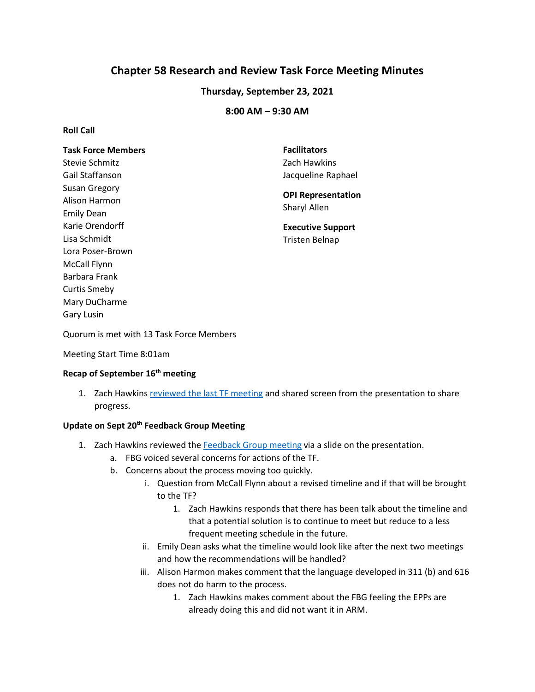# **Chapter 58 Research and Review Task Force Meeting Minutes**

## **Thursday, September 23, 2021**

## **8:00 AM – 9:30 AM**

### **Roll Call**

| <b>Task Force Members</b> | <b>Facilitators</b>       |
|---------------------------|---------------------------|
| Stevie Schmitz            | Zach Hawkins              |
| Gail Staffanson           | Jacqueline Raphael        |
| Susan Gregory             |                           |
| Alison Harmon             | <b>OPI Representation</b> |
| <b>Emily Dean</b>         | Sharyl Allen              |
| Karie Orendorff           | <b>Executive Support</b>  |
| Lisa Schmidt              | Tristen Belnap            |
| Lora Poser-Brown          |                           |
| McCall Flynn              |                           |
| Barbara Frank             |                           |
| Curtis Smeby              |                           |
| Mary DuCharme             |                           |
| <b>Gary Lusin</b>         |                           |

Quorum is met with 13 Task Force Members

Meeting Start Time 8:01am

## **Recap of September 16th meeting**

1. Zach Hawkin[s reviewed the last TF meeting](https://docs.google.com/presentation/d/19t9Yz6RyoUNsSMSvMiAu_HVDFHC8jcf-/edit?usp=sharing&ouid=103980653118195900680&rtpof=true&sd=true) and shared screen from the presentation to share progress.

## **Update on Sept 20th Feedback Group Meeting**

- 1. Zach Hawkins reviewed th[e Feedback Group meeting](https://docs.google.com/presentation/d/19t9Yz6RyoUNsSMSvMiAu_HVDFHC8jcf-/edit?usp=sharing&ouid=103980653118195900680&rtpof=true&sd=true) via a slide on the presentation.
	- a. FBG voiced several concerns for actions of the TF.
	- b. Concerns about the process moving too quickly.
		- i. Question from McCall Flynn about a revised timeline and if that will be brought to the TF?
			- 1. Zach Hawkins responds that there has been talk about the timeline and that a potential solution is to continue to meet but reduce to a less frequent meeting schedule in the future.
		- ii. Emily Dean asks what the timeline would look like after the next two meetings and how the recommendations will be handled?
		- iii. Alison Harmon makes comment that the language developed in 311 (b) and 616 does not do harm to the process.
			- 1. Zach Hawkins makes comment about the FBG feeling the EPPs are already doing this and did not want it in ARM.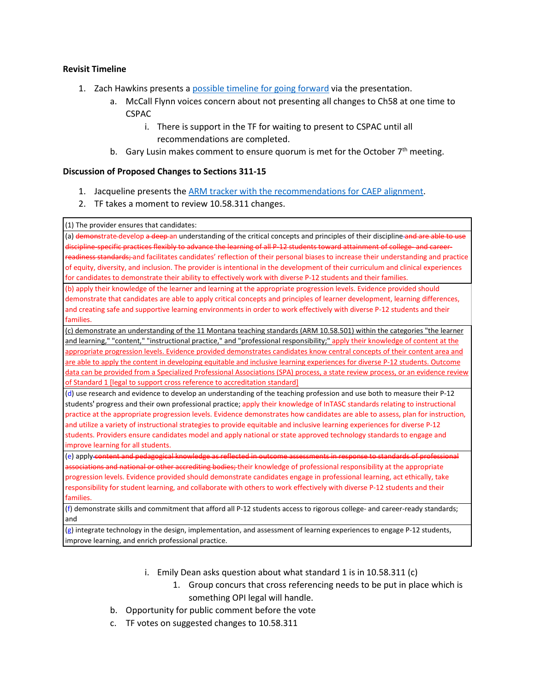#### **Revisit Timeline**

- 1. Zach Hawkins presents a [possible timeline for going forward](https://docs.google.com/presentation/d/19t9Yz6RyoUNsSMSvMiAu_HVDFHC8jcf-/edit?usp=sharing&ouid=103980653118195900680&rtpof=true&sd=true) via the presentation.
	- a. McCall Flynn voices concern about not presenting all changes to Ch58 at one time to CSPAC
		- i. There is support in the TF for waiting to present to CSPAC until all recommendations are completed.
	- b. Gary Lusin makes comment to ensure quorum is met for the October  $7<sup>th</sup>$  meeting.

#### **Discussion of Proposed Changes to Sections 311-15**

- 1. Jacqueline presents the [ARM tracker with the recommendations for CAEP alignment.](https://docs.google.com/spreadsheets/d/1EtHSL7juIWfxtheJzNZoD7wt_Q1HnhtC/edit?usp=sharing&ouid=103980653118195900680&rtpof=true&sd=true)
- 2. TF takes a moment to review 10.58.311 changes.

(1) The provider ensures that candidates:

(a) demonstrate-develop a deep an understanding of the critical concepts and principles of their discipline and are able to use discipline-specific practices flexibly to advance the learning of all P-12 students toward attainment of college- and careerreadiness standards; and facilitates candidates' reflection of their personal biases to increase their understanding and practice of equity, diversity, and inclusion. The provider is intentional in the development of their curriculum and clinical experiences for candidates to demonstrate their ability to effectively work with diverse P-12 students and their families.

(b) apply their knowledge of the learner and learning at the appropriate progression levels. Evidence provided should demonstrate that candidates are able to apply critical concepts and principles of learner development, learning differences, and creating safe and supportive learning environments in order to work effectively with diverse P-12 students and their families.

[\(c\)](https://rules.mt.gov/gateway/ruleno.asp?RN=10.58.501) [demonstrate an understanding of the 11 Montana teaching standards \(ARM](https://rules.mt.gov/gateway/ruleno.asp?RN=10.58.501) 10.58.501) within the categories "the learner [and learning," "content," "instructional practice," and "professional responsibility;" a](https://rules.mt.gov/gateway/ruleno.asp?RN=10.58.501)pply their knowledge of content at the appropriate progression levels. Evidence provided demonstrates candidates know central concepts of their content area and are able to apply the content in developing equitable and inclusive learning experiences for diverse P-12 students. Outcome data can be provided from a Specialized Professional Associations (SPA) process, a state review process, or an evidence review of Standard 1 [legal to support cross reference to accreditation standard]

(d) use research and evidence to develop an understanding of the teaching profession and use both to measure their P-12 students' progress and their own professional practice; apply their knowledge of InTASC standards relating to instructional practice at the appropriate progression levels. Evidence demonstrates how candidates are able to assess, plan for instruction, and utilize a variety of instructional strategies to provide equitable and inclusive learning experiences for diverse P-12 students. Providers ensure candidates model and apply national or state approved technology standards to engage and improve learning for all students.

(e) apply content and pedagogical knowledge as reflected in outcome assessments in response to standards of professional and national or other accrediting bodies; their knowledge of professional responsibility at the appropriate progression levels. Evidence provided should demonstrate candidates engage in professional learning, act ethically, take responsibility for student learning, and collaborate with others to work effectively with diverse P-12 students and their families.

(f) demonstrate skills and commitment that afford all P-12 students access to rigorous college- and career-ready standards; and

 $(g)$  integrate technology in the design, implementation, and assessment of learning experiences to engage P-12 students, improve learning, and enrich professional practice.

- i. Emily Dean asks question about what standard 1 is in 10.58.311 (c)
	- 1. Group concurs that cross referencing needs to be put in place which is something OPI legal will handle.
- b. Opportunity for public comment before the vote
- c. TF votes on suggested changes to 10.58.311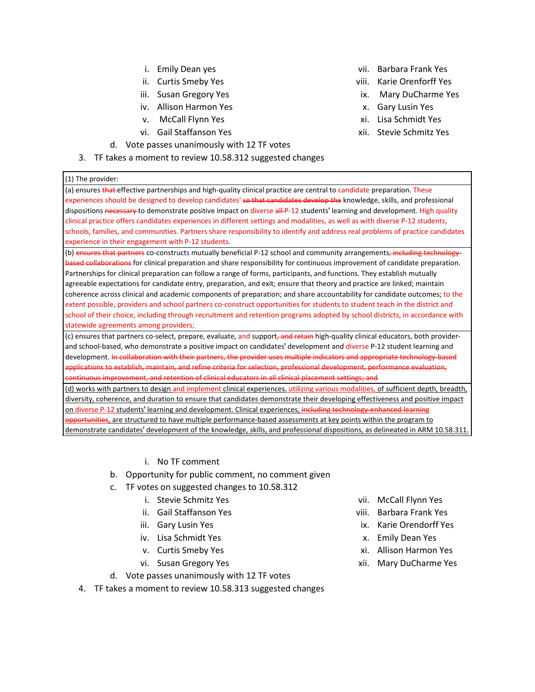- i. Emily Dean yes
- ii. Curtis Smeby Yes
- iii. Susan Gregory Yes
- iv. Allison Harmon Yes
- v. McCall Flynn Yes
- vi. Gail Staffanson Yes
- d. Vote passes unanimously with 12 TF votes
- 3. TF takes a moment to review 10.58.312 suggested changes
- vii. Barbara Frank Yes
- viii. Karie Orenforff Yes
- ix. Mary DuCharme Yes
- x. Gary Lusin Yes
- xi. Lisa Schmidt Yes
- xii. Stevie Schmitz Yes
- (1) The provider: (a) ensures that effective partnerships and high-quality clinical practice are central to candidate preparation. These experiences should be designed to develop candidates' so that candidates develop the knowledge, skills, and professional dispositions necessary to demonstrate positive impact on diverse all P-12 students' learning and development. High quality

clinical practice offers candidates experiences in different settings and modalities, as well as with diverse P-12 students, schools, families, and communities. Partners share responsibility to identify and address real problems of practice candidates experience in their engagement with P-12 students.

(b) ensures that partners co-constructs mutually beneficial P-12 school and community arrangements, including technologybased collaborations for clinical preparation and share responsibility for continuous improvement of candidate preparation. Partnerships for clinical preparation can follow a range of forms, participants, and functions. They establish mutually agreeable expectations for candidate entry, preparation, and exit; ensure that theory and practice are linked; maintain coherence across clinical and academic components of preparation; and share accountability for candidate outcomes; to the extent possible, providers and school partners co-construct opportunities for students to student teach in the district and school of their choice, including through recruitment and retention programs adopted by school districts, in accordance with statewide agreements among providers;

(c) ensures that partners co-select, prepare, evaluate, and support<del>, and retain</del> high-quality clinical educators, both providerand school-based, who demonstrate a positive impact on candidates' development and diverse P-12 student learning and development. In collaboration with their partners, the provider uses multiple indicators and appropriate technology-based applications to establish, maintain, and refine criteria for selection, professional development, performance evaluation, continuous improvement, and retention of clinical educators in all clinical placement settings; and

(d) works with partners to design and implement [clinical experiences, utilizing various modalities,](https://rules.mt.gov/gateway/ruleno.asp?RN=10.58.311) of sufficient depth, breadth, [diversity, coherence, and duration to ensure that candidates demonstrate their developing effectiveness and positive impact](https://rules.mt.gov/gateway/ruleno.asp?RN=10.58.311)  on diverse P-12 students' learning and development. Clinical experiences, including technology-enhanced learning **ppoortunities**, are structured to have multiple performance-based assessments at key points within the program to demonstrate candidates' [development of the knowledge, skills, and professional dispositions, as delineated in ARM](https://rules.mt.gov/gateway/ruleno.asp?RN=10.58.311) 10.58.311.

#### i. No TF comment

- b. Opportunity for public comment, no comment given
- c. TF votes on suggested changes to 10.58.312
	- i. Stevie Schmitz Yes
	- ii. Gail Staffanson Yes
	- iii. Gary Lusin Yes
	- iv. Lisa Schmidt Yes
	- v. Curtis Smeby Yes
	- vi. Susan Gregory Yes
- d. Vote passes unanimously with 12 TF votes
- 4. TF takes a moment to review 10.58.313 suggested changes
- vii. McCall Flynn Yes
- viii. Barbara Frank Yes
- ix. Karie Orendorff Yes
- x. Emily Dean Yes
- xi. Allison Harmon Yes
- xii. Mary DuCharme Yes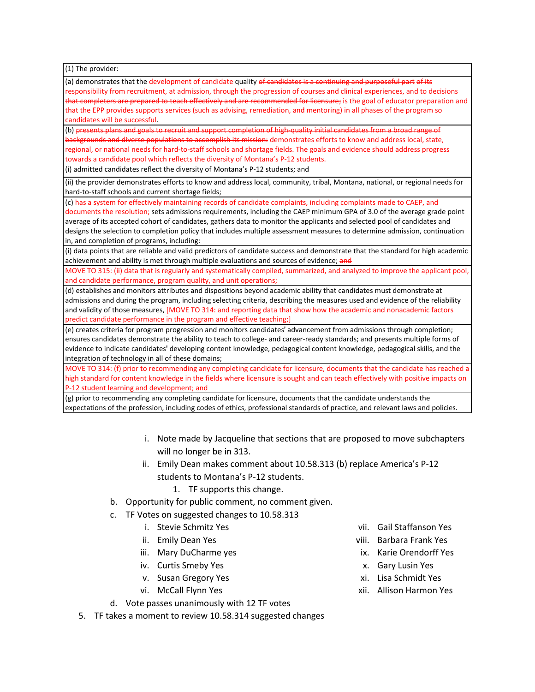(1) The provider:

(a) demonstrates that the development of candidate quality of candidates is a continuing and purposeful part of its responsibility from recruitment, at admission, through the progression of courses and clinical experiences, and to decisions that completers are prepared to teach effectively and are recommended for licensure; is the goal of educator preparation and that the EPP provides supports services (such as advising, remediation, and mentoring) in all phases of the program so candidates will be successful.

(b) presents plans and goals to recruit and support completion of high-quality initial candidates from a broad range of backgrounds and diverse populations to accomplish its mission: demonstrates efforts to know and address local, state, regional, or national needs for hard-to-staff schools and shortage fields. The goals and evidence should address progress towards a candidate pool which reflects the diversity of Montana's P-12 students.

(i) admitted candidates reflect the diversity of Montana's P-12 students; and

(ii) the provider demonstrates efforts to know and address local, community, tribal, Montana, national, or regional needs for hard-to-staff schools and current shortage fields;

(c) has a system for effectively maintaining records of candidate complaints, including complaints made to CAEP, and

documents the resolution; sets admissions requirements, including the CAEP minimum GPA of 3.0 of the average grade point average of its accepted cohort of candidates, gathers data to monitor the applicants and selected pool of candidates and designs the selection to completion policy that includes multiple assessment measures to determine admission, continuation in, and completion of programs, including:

(i) data points that are reliable and valid predictors of candidate success and demonstrate that the standard for high academic achievement and ability is met through multiple evaluations and sources of evidence; and

MOVE TO 315: (ii) data that is regularly and systematically compiled, summarized, and analyzed to improve the applicant pool, and candidate performance, program quality, and unit operations;

(d) establishes and monitors attributes and dispositions beyond academic ability that candidates must demonstrate at admissions and during the program, including selecting criteria, describing the measures used and evidence of the reliability and validity of those measures, [MOVE TO 314: and reporting data that show how the academic and nonacademic factors predict candidate performance in the program and effective teaching;]

(e) creates criteria for program progression and monitors candidates' advancement from admissions through completion; ensures candidates demonstrate the ability to teach to college- and career-ready standards; and presents multiple forms of evidence to indicate candidates' developing content knowledge, pedagogical content knowledge, pedagogical skills, and the integration of technology in all of these domains;

MOVE TO 314: (f) prior to recommending any completing candidate for licensure, documents that the candidate has reached a high standard for content knowledge in the fields where licensure is sought and can teach effectively with positive impacts on P-12 student learning and development; and

(g) prior to recommending any completing candidate for licensure, documents that the candidate understands the expectations of the profession, including codes of ethics, professional standards of practice, and relevant laws and policies.

- i. Note made by Jacqueline that sections that are proposed to move subchapters will no longer be in 313.
- ii. Emily Dean makes comment about 10.58.313 (b) replace America's P-12 students to Montana's P-12 students.
	- 1. TF supports this change.
- b. Opportunity for public comment, no comment given.
- c. TF Votes on suggested changes to 10.58.313
	- i. Stevie Schmitz Yes
	- ii. Emily Dean Yes
	- iii. Mary DuCharme yes
	- iv. Curtis Smeby Yes
	- v. Susan Gregory Yes
	- vi. McCall Flynn Yes
- d. Vote passes unanimously with 12 TF votes
- 5. TF takes a moment to review 10.58.314 suggested changes
- vii. Gail Staffanson Yes
- viii. Barbara Frank Yes
- ix. Karie Orendorff Yes
- x. Gary Lusin Yes
- xi. Lisa Schmidt Yes
- xii. Allison Harmon Yes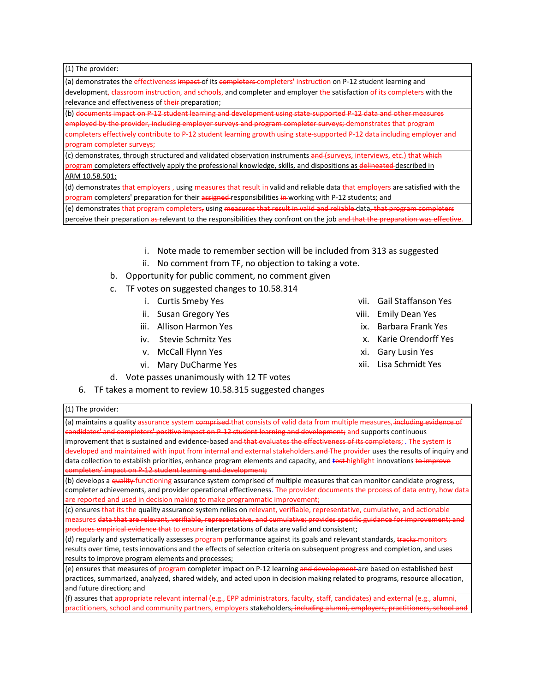(1) The provider:

(1) The provider:

(a) demonstrates the effectiveness impact of its completers completers' instruction on P-12 student learning and development<del>, classroom instruction, and schools, </del>and completer and employer the satisfaction of its completers with the relevance and effectiveness of their-preparation;

(b) documents impact on P-12 student learning and development using state-supported P-12 data and other measures e<del>mployed by the provider, including employer surveys and program completer surveys; demonstrates that program</del> completers effectively contribute to P-12 student learning growth using state-supported P-12 data including employer and program completer surveys;

(c) demonstrates, through structured and validated observation instruments and (surveys, interviews, etc.) that which program completers effectively apply the professional knowledge, skills, and dispositions as delineated described in ARM [10.58.501;](https://rules.mt.gov/gateway/ruleno.asp?RN=10.58.501)

(d) demonstrates that employers -using measures that result in valid and reliable data that employers are satisfied with the program completers' preparation for their assigned-responsibilities in working with P-12 students; and

(e) demonstrates that program completers, using measures that result in valid and reliable data, that program perceive their preparation as relevant to the responsibilities they confront on the job and that the preparation was effective.

- i. Note made to remember section will be included from 313 as suggested
- ii. No comment from TF, no objection to taking a vote.
- b. Opportunity for public comment, no comment given
- c. TF votes on suggested changes to 10.58.314
	- i. Curtis Smeby Yes
	- ii. Susan Gregory Yes
	- iii. Allison Harmon Yes
	- iv. Stevie Schmitz Yes
	- v. McCall Flynn Yes
	- vi. Mary DuCharme Yes
- d. Vote passes unanimously with 12 TF votes
- 6. TF takes a moment to review 10.58.315 suggested changes
- vii. Gail Staffanson Yes
- viii. Emily Dean Yes
- ix. Barbara Frank Yes
- x. Karie Orendorff Yes
- xi. Gary Lusin Yes
- xii. Lisa Schmidt Yes

| (a) maintains a quality assurance system comprised that consists of valid data from multiple measures, including evidence of<br>candidates' and completers' positive impact on P 12 student learning and development; and supports continuous |
|-----------------------------------------------------------------------------------------------------------------------------------------------------------------------------------------------------------------------------------------------|
|                                                                                                                                                                                                                                               |
| improvement that is sustained and evidence-based and that evaluates the effectiveness of its completers; . The system is                                                                                                                      |
| developed and maintained with input from internal and external stakeholders.and The provider uses the results of inquiry and                                                                                                                  |
| data collection to establish priorities, enhance program elements and capacity, and test-highlight innovations to improve                                                                                                                     |
| completers' impact on P-12 student learning and development;                                                                                                                                                                                  |
| (b) develops a <del>quality f</del> unctioning assurance system comprised of multiple measures that can monitor candidate progress,                                                                                                           |
| completer achievements, and provider operational effectiveness. The provider documents the process of data entry, how data                                                                                                                    |
| are reported and used in decision making to make programmatic improvement;                                                                                                                                                                    |
| (c) ensures that its the quality assurance system relies on relevant, verifiable, representative, cumulative, and actionable                                                                                                                  |
|                                                                                                                                                                                                                                               |

measures <del>data that are relevant, verifiable, representative, and cumulative; provides specific guidance for improvement; and</del> **Produces empirical evidence that to ensure** interpretations of data are valid and consistent;

(d) regularly and systematically assesses program performance against its goals and relevant standards, tracks monitors results over time, tests innovations and the effects of selection criteria on subsequent progress and completion, and uses results to improve program elements and processes;

(e) ensures that measures of program completer impact on P-12 learning and development are based on established best practices, summarized, analyzed, shared widely, and acted upon in decision making related to programs, resource allocation, and future direction; and

(f) assures that appropriate relevant internal (e.g., EPP administrators, faculty, staff, candidates) and external (e.g., alumni, practitioners, school and community partners, employers stakeholders<del>, including alumni, employers, practitioner</del>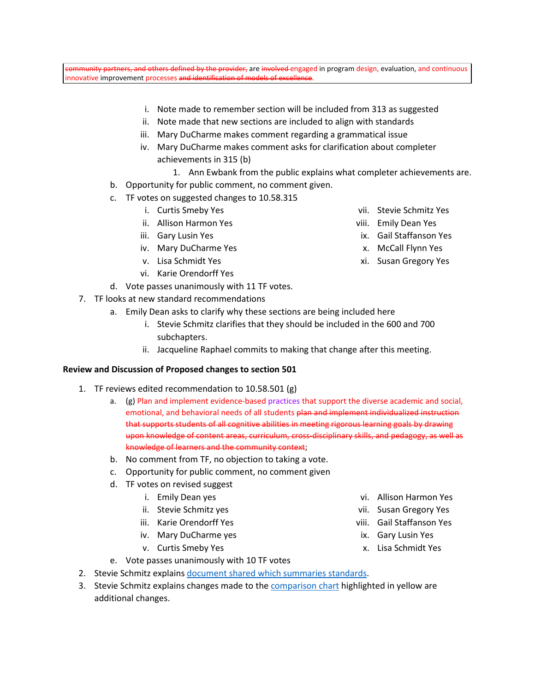others defined by the provider, are involved engaged in program design, evaluation, and continuous innovative improvement processes and identification of models of excellence.

- i. Note made to remember section will be included from 313 as suggested
- ii. Note made that new sections are included to align with standards
- iii. Mary DuCharme makes comment regarding a grammatical issue
- iv. Mary DuCharme makes comment asks for clarification about completer achievements in 315 (b)
	- 1. Ann Ewbank from the public explains what completer achievements are.
- b. Opportunity for public comment, no comment given.
- c. TF votes on suggested changes to 10.58.315
	- i. Curtis Smeby Yes
	- ii. Allison Harmon Yes
	- iii. Gary Lusin Yes
	- iv. Mary DuCharme Yes
	- v. Lisa Schmidt Yes
	- vi. Karie Orendorff Yes
- d. Vote passes unanimously with 11 TF votes.
- 7. TF looks at new standard recommendations
	- a. Emily Dean asks to clarify why these sections are being included here
		- i. Stevie Schmitz clarifies that they should be included in the 600 and 700 subchapters.
		- ii. Jacqueline Raphael commits to making that change after this meeting.

#### **Review and Discussion of Proposed changes to section 501**

- 1. TF reviews edited recommendation to 10.58.501 (g)
	- a. (g) Plan and implement evidence-based practices that support the diverse academic and social, emotional, and behavioral needs of all students plan and implement individualized instruction that supports students of all cognitive abilities in meeting rigorous learning goals by drawing upon knowledge of content areas, curriculum, cross-disciplinary skills, and pedagogy, as well as knowledge of learners and the community context;
	- b. No comment from TF, no objection to taking a vote.
	- c. Opportunity for public comment, no comment given
	- d. TF votes on revised suggest
		- i. Emily Dean yes
		- ii. Stevie Schmitz yes
		- iii. Karie Orendorff Yes
		- iv. Mary DuCharme yes
		- v. Curtis Smeby Yes
- vi. Allison Harmon Yes vii. Susan Gregory Yes
- viii. Gail Staffanson Yes
- ix. Gary Lusin Yes
- x. Lisa Schmidt Yes
- e. Vote passes unanimously with 10 TF votes 2. Stevie Schmitz explains [document shared which summaries standards.](https://docs.google.com/document/d/1xIPMGBX44cgAV3c9tFUX3D5SFJMNhJMH/edit?usp=sharing&ouid=103980653118195900680&rtpof=true&sd=true)
- 3. Stevie Schmitz explains changes made to the [comparison chart](https://docs.google.com/document/d/1vqobaIf-OF9OFN1V2F_xUDRj0O_VwfcL/edit?usp=sharing&ouid=103980653118195900680&rtpof=true&sd=true) highlighted in yellow are additional changes.
- vii. Stevie Schmitz Yes
- viii. Emily Dean Yes
- ix. Gail Staffanson Yes
- x. McCall Flynn Yes
- xi. Susan Gregory Yes